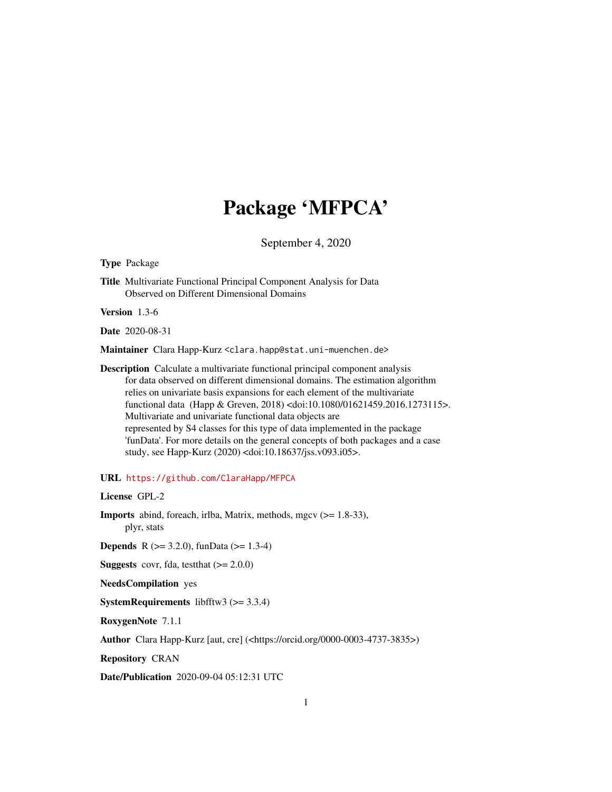## Package 'MFPCA'

September 4, 2020

<span id="page-0-0"></span>Type Package

Title Multivariate Functional Principal Component Analysis for Data Observed on Different Dimensional Domains

Version 1.3-6

Date 2020-08-31

Maintainer Clara Happ-Kurz <clara.happ@stat.uni-muenchen.de>

Description Calculate a multivariate functional principal component analysis for data observed on different dimensional domains. The estimation algorithm relies on univariate basis expansions for each element of the multivariate functional data (Happ & Greven, 2018) <doi:10.1080/01621459.2016.1273115>. Multivariate and univariate functional data objects are represented by S4 classes for this type of data implemented in the package 'funData'. For more details on the general concepts of both packages and a case study, see Happ-Kurz (2020) <doi:10.18637/jss.v093.i05>.

URL <https://github.com/ClaraHapp/MFPCA>

License GPL-2

Imports abind, foreach, irlba, Matrix, methods, mgcv (>= 1.8-33), plyr, stats

**Depends** R ( $>= 3.2.0$ ), funData ( $>= 1.3-4$ )

**Suggests** covr, fda, test that  $(>= 2.0.0)$ 

NeedsCompilation yes

**SystemRequirements** libfftw3  $(>= 3.3.4)$ 

RoxygenNote 7.1.1

Author Clara Happ-Kurz [aut, cre] (<https://orcid.org/0000-0003-4737-3835>)

Repository CRAN

Date/Publication 2020-09-04 05:12:31 UTC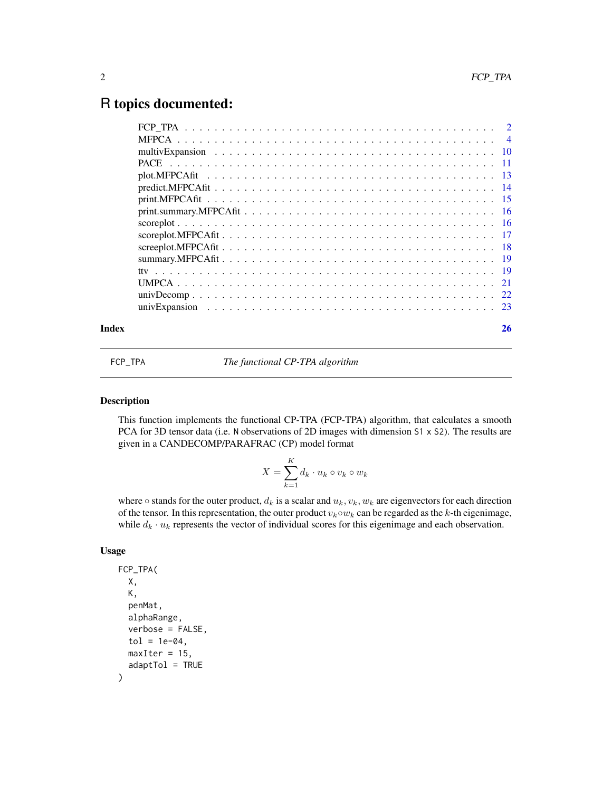### <span id="page-1-0"></span>R topics documented:

| Index | 26 |
|-------|----|
|       |    |
|       |    |
|       |    |
|       |    |
|       |    |
|       |    |
|       |    |
|       |    |
|       |    |
|       |    |
|       |    |
|       |    |
|       |    |
|       |    |
|       |    |
|       |    |

FCP\_TPA *The functional CP-TPA algorithm*

 $\ddotsc$ 

#### Description

This function implements the functional CP-TPA (FCP-TPA) algorithm, that calculates a smooth PCA for 3D tensor data (i.e. N observations of 2D images with dimension  $S1 \times S2$ ). The results are given in a CANDECOMP/PARAFRAC (CP) model format

$$
X = \sum_{k=1}^{K} d_k \cdot u_k \circ v_k \circ w_k
$$

where  $\circ$  stands for the outer product,  $d_k$  is a scalar and  $u_k, v_k, w_k$  are eigenvectors for each direction of the tensor. In this representation, the outer product  $v_k \circ w_k$  can be regarded as the k-th eigenimage, while  $d_k \cdot u_k$  represents the vector of individual scores for this eigenimage and each observation.

#### Usage

```
FCP_TPA(
 X,
 K,
 penMat,
  alphaRange,
  verbose = FALSE,
  tol = 1e-04,maxIter = 15,
  adaptTol = TRUE)
```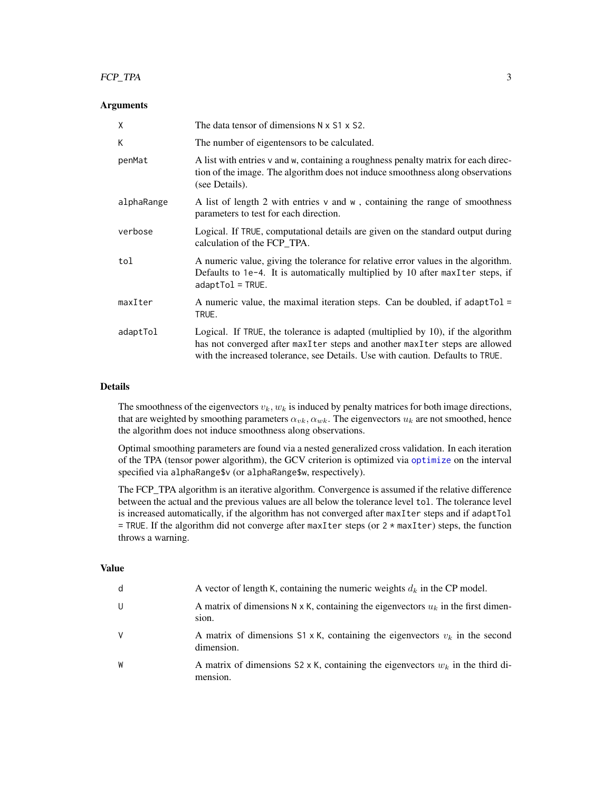#### <span id="page-2-0"></span>FCP\_TPA 3

#### Arguments

| X          | The data tensor of dimensions $N \times S1 \times S2$ .                                                                                                                                                                                             |
|------------|-----------------------------------------------------------------------------------------------------------------------------------------------------------------------------------------------------------------------------------------------------|
| K          | The number of eigentensors to be calculated.                                                                                                                                                                                                        |
| penMat     | A list with entries v and w, containing a roughness penalty matrix for each direc-<br>tion of the image. The algorithm does not induce smoothness along observations<br>(see Details).                                                              |
| alphaRange | A list of length 2 with entries v and w, containing the range of smoothness<br>parameters to test for each direction.                                                                                                                               |
| verbose    | Logical. If TRUE, computational details are given on the standard output during<br>calculation of the FCP_TPA.                                                                                                                                      |
| tol        | A numeric value, giving the tolerance for relative error values in the algorithm.<br>Defaults to 1e-4. It is automatically multiplied by 10 after maxIter steps, if<br>$adaptTol = TRUE.$                                                           |
| maxIter    | A numeric value, the maximal iteration steps. Can be doubled, if adapt $Tol =$<br>TRUE.                                                                                                                                                             |
| adaptTol   | Logical. If TRUE, the tolerance is adapted (multiplied by $10$ ), if the algorithm<br>has not converged after maxIter steps and another maxIter steps are allowed<br>with the increased tolerance, see Details. Use with caution. Defaults to TRUE. |

#### Details

The smoothness of the eigenvectors  $v_k, w_k$  is induced by penalty matrices for both image directions, that are weighted by smoothing parameters  $\alpha_{vk}, \alpha_{wk}$ . The eigenvectors  $u_k$  are not smoothed, hence the algorithm does not induce smoothness along observations.

Optimal smoothing parameters are found via a nested generalized cross validation. In each iteration of the TPA (tensor power algorithm), the GCV criterion is optimized via [optimize](#page-0-0) on the interval specified via alphaRange\$v (or alphaRange\$w, respectively).

The FCP\_TPA algorithm is an iterative algorithm. Convergence is assumed if the relative difference between the actual and the previous values are all below the tolerance level tol. The tolerance level is increased automatically, if the algorithm has not converged after maxIter steps and if adaptTol  $=$  TRUE. If the algorithm did not converge after maxIter steps (or 2  $*$  maxIter) steps, the function throws a warning.

#### Value

| d | A vector of length K, containing the numeric weights $d_k$ in the CP model.                           |
|---|-------------------------------------------------------------------------------------------------------|
| U | A matrix of dimensions N x K, containing the eigenvectors $u_k$ in the first dimen-<br>sion.          |
| V | A matrix of dimensions $S_1 \times K$ , containing the eigenvectors $v_k$ in the second<br>dimension. |
| W | A matrix of dimensions S2 x K, containing the eigenvectors $w_k$ in the third di-<br>mension.         |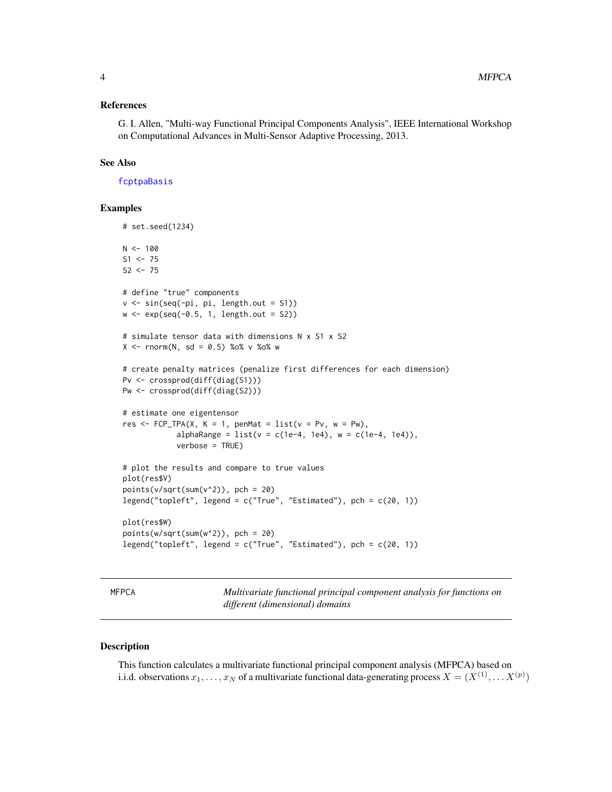#### <span id="page-3-0"></span>References

G. I. Allen, "Multi-way Functional Principal Components Analysis", IEEE International Workshop on Computational Advances in Multi-Sensor Adaptive Processing, 2013.

#### See Also

[fcptpaBasis](#page-0-0)

#### Examples

```
# set.seed(1234)
N < - 100S1 <- 75
S2 < -75# define "true" components
v <- sin(seq(-pi, pi, length.out = S1))
w \leftarrow \exp(\text{seq}(-0.5, 1, \text{length.out} = S2))# simulate tensor data with dimensions N x S1 x S2
X \leq -rnorm(N, sd = 0.5) % %o% v %o% w
# create penalty matrices (penalize first differences for each dimension)
Pv <- crossprod(diff(diag(S1)))
Pw <- crossprod(diff(diag(S2)))
# estimate one eigentensor
res \leq FCP_TPA(X, K = 1, penMat = list(v = Pv, w = Pw),
            alphaRange = list(v = c(1e-4, 1e4), w = c(1e-4, 1e4)),verbose = TRUE)
# plot the results and compare to true values
plot(res$V)
points(v/sqrt(sum(v^2)), pch = 20)
legend("topleft", legend = c("True", "Estimated"), pch = c(20, 1))
plot(res$W)
points(w/sqrt(sum(w^2)), pch = 20)
legend("topleft", legend = c("True", "Estimated"), pch = c(20, 1))
```
<span id="page-3-1"></span>MFPCA *Multivariate functional principal component analysis for functions on different (dimensional) domains*

#### Description

This function calculates a multivariate functional principal component analysis (MFPCA) based on i.i.d. observations  $x_1, \ldots, x_N$  of a multivariate functional data-generating process  $X = (X^{(1)}, \ldots X^{(p)})$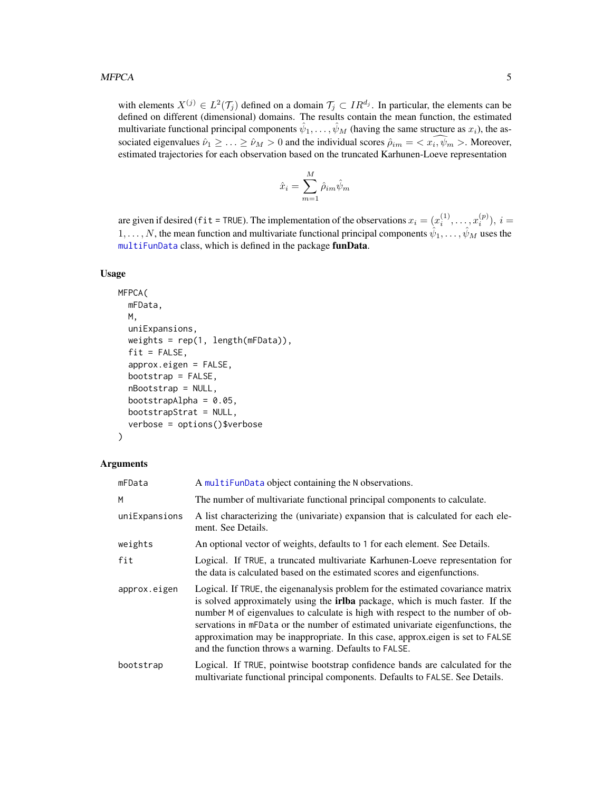#### <span id="page-4-0"></span>MFPCA 5

with elements  $X^{(j)} \in L^2(\mathcal{T}_j)$  defined on a domain  $\mathcal{T}_j \subset IR^{d_j}$ . In particular, the elements can be defined on different (dimensional) domains. The results contain the mean function, the estimated multivariate functional principal components  $\hat{\psi}_1,\ldots,\hat{\psi}_M$  (having the same structure as  $x_i$ ), the associated eigenvalues  $\hat{\nu}_1 \geq \ldots \geq \hat{\nu}_M > 0$  and the individual scores  $\hat{\rho}_{im} = \langle x_i, \hat{\psi}_m \rangle$ . Moreover, estimated trajectories for each observation based on the truncated Karhunen-Loeve representation

$$
\hat{x}_i = \sum_{m=1}^M \hat{\rho}_{im} \hat{\psi}_m
$$

are given if desired (fit = TRUE). The implementation of the observations  $x_i = (x_i^{(1)}, \dots, x_i^{(p)}), i =$  $1, \ldots, N$ , the mean function and multivariate functional principal components  $\hat{\psi}_1, \ldots, \hat{\psi}_M$  uses the [multiFunData](#page-0-0) class, which is defined in the package funData.

#### Usage

```
MFPCA(
  mFData,
  M,
  uniExpansions,
  weights = rep(1, length(mFData)),
  fit = FALSE,approx.eigen = FALSE,
  bootstrap = FALSE,
  nBootstrap = NULL,
  bootstrapAlpha = 0.05,
  bootstrapStrat = NULL,
  verbose = options()$verbose
)
```
#### Arguments

| mFData        | A multiFunData object containing the N observations.                                                                                                                                                                                                                                                                                                                                                                                                                                   |
|---------------|----------------------------------------------------------------------------------------------------------------------------------------------------------------------------------------------------------------------------------------------------------------------------------------------------------------------------------------------------------------------------------------------------------------------------------------------------------------------------------------|
| M             | The number of multivariate functional principal components to calculate.                                                                                                                                                                                                                                                                                                                                                                                                               |
| uniExpansions | A list characterizing the (univariate) expansion that is calculated for each ele-<br>ment. See Details.                                                                                                                                                                                                                                                                                                                                                                                |
| weights       | An optional vector of weights, defaults to 1 for each element. See Details.                                                                                                                                                                                                                                                                                                                                                                                                            |
| fit           | Logical. If TRUE, a truncated multivariate Karhunen-Loeve representation for<br>the data is calculated based on the estimated scores and eigenfunctions.                                                                                                                                                                                                                                                                                                                               |
| approx.eigen  | Logical. If TRUE, the eigenanalysis problem for the estimated covariance matrix<br>is solved approximately using the <b>irlba</b> package, which is much faster. If the<br>number M of eigenvalues to calculate is high with respect to the number of ob-<br>servations in mFData or the number of estimated univariate eigenfunctions, the<br>approximation may be inappropriate. In this case, approx.eigen is set to FALSE<br>and the function throws a warning. Defaults to FALSE. |
| bootstrap     | Logical. If TRUE, pointwise bootstrap confidence bands are calculated for the<br>multivariate functional principal components. Defaults to FALSE. See Details.                                                                                                                                                                                                                                                                                                                         |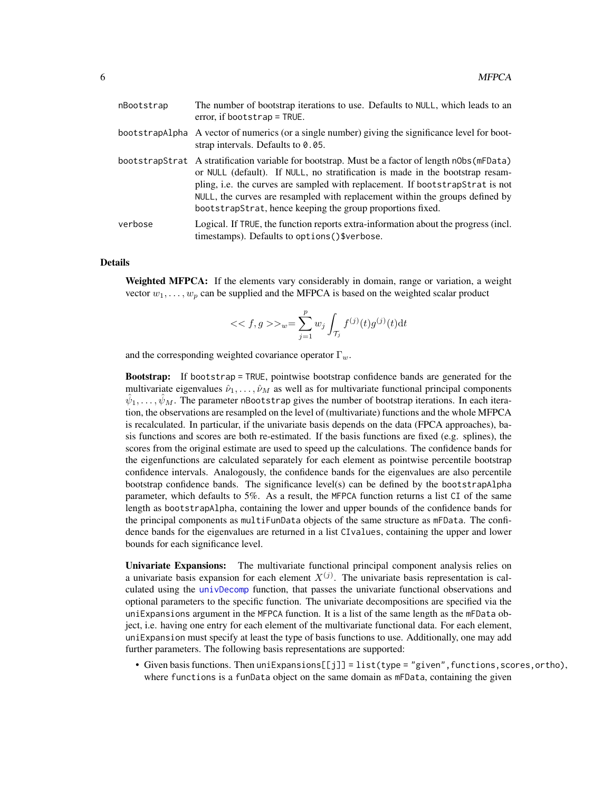<span id="page-5-0"></span>

| nBootstrap | The number of bootstrap iterations to use. Defaults to NULL, which leads to an<br>error, if bootstrap = TRUE.                                                                                                                                                                                                                                                                                                    |
|------------|------------------------------------------------------------------------------------------------------------------------------------------------------------------------------------------------------------------------------------------------------------------------------------------------------------------------------------------------------------------------------------------------------------------|
|            | bootstrapAlpha A vector of numerics (or a single number) giving the significance level for boot-<br>strap intervals. Defaults to $0.05$ .                                                                                                                                                                                                                                                                        |
|            | bootstrapStrat A stratification variable for bootstrap. Must be a factor of length n0bs (mFData)<br>or NULL (default). If NULL, no stratification is made in the bootstrap resam-<br>pling, i.e. the curves are sampled with replacement. If bootstrapStrat is not<br>NULL, the curves are resampled with replacement within the groups defined by<br>bootstrapStrat, hence keeping the group proportions fixed. |
| verbose    | Logical. If TRUE, the function reports extra-information about the progress (incl.<br>timestamps). Defaults to options()\$verbose.                                                                                                                                                                                                                                                                               |

#### Details

Weighted MFPCA: If the elements vary considerably in domain, range or variation, a weight vector  $w_1, \ldots, w_p$  can be supplied and the MFPCA is based on the weighted scalar product

<< f, 
$$
g \gg w = \sum_{j=1}^{p} w_j \int_{\mathcal{T}_j} f^{(j)}(t) g^{(j)}(t) dt
$$

and the corresponding weighted covariance operator  $\Gamma_w$ .

Bootstrap: If bootstrap = TRUE, pointwise bootstrap confidence bands are generated for the multivariate eigenvalues  $\hat{\nu}_1, \dots, \hat{\nu}_M$  as well as for multivariate functional principal components  $\hat{\psi}_1,\ldots,\hat{\psi}_M$ . The parameter nBootstrap gives the number of bootstrap iterations. In each iteration, the observations are resampled on the level of (multivariate) functions and the whole MFPCA is recalculated. In particular, if the univariate basis depends on the data (FPCA approaches), basis functions and scores are both re-estimated. If the basis functions are fixed (e.g. splines), the scores from the original estimate are used to speed up the calculations. The confidence bands for the eigenfunctions are calculated separately for each element as pointwise percentile bootstrap confidence intervals. Analogously, the confidence bands for the eigenvalues are also percentile bootstrap confidence bands. The significance level(s) can be defined by the bootstrapAlpha parameter, which defaults to 5%. As a result, the MFPCA function returns a list CI of the same length as bootstrapAlpha, containing the lower and upper bounds of the confidence bands for the principal components as multiFunData objects of the same structure as mFData. The confidence bands for the eigenvalues are returned in a list CIvalues, containing the upper and lower bounds for each significance level.

Univariate Expansions: The multivariate functional principal component analysis relies on a univariate basis expansion for each element  $X^{(j)}$ . The univariate basis representation is calculated using the [univDecomp](#page-21-1) function, that passes the univariate functional observations and optional parameters to the specific function. The univariate decompositions are specified via the uniExpansions argument in the MFPCA function. It is a list of the same length as the mFData object, i.e. having one entry for each element of the multivariate functional data. For each element, uniExpansion must specify at least the type of basis functions to use. Additionally, one may add further parameters. The following basis representations are supported:

• Given basis functions. Then uniExpansions[[j]] = list(type = "given", functions, scores, ortho), where functions is a funData object on the same domain as mFData, containing the given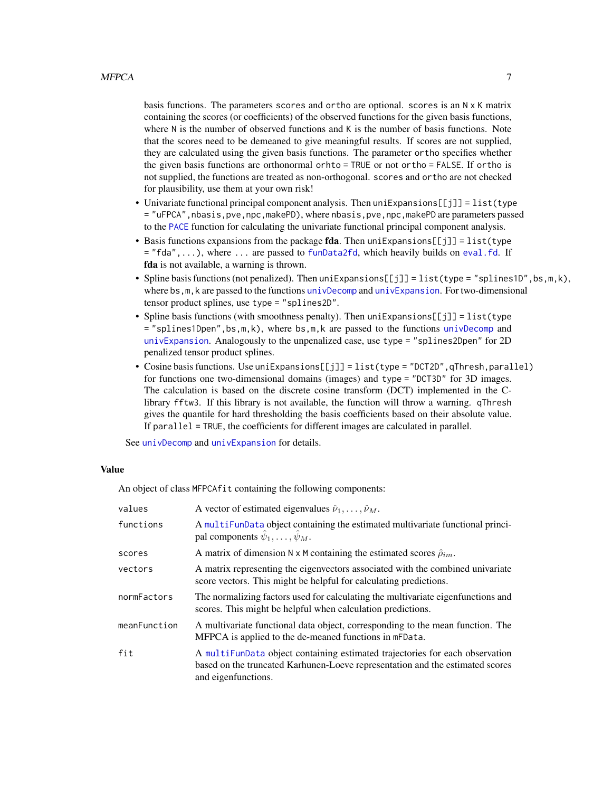<span id="page-6-0"></span>basis functions. The parameters scores and ortho are optional. scores is an N x K matrix containing the scores (or coefficients) of the observed functions for the given basis functions, where N is the number of observed functions and K is the number of basis functions. Note that the scores need to be demeaned to give meaningful results. If scores are not supplied, they are calculated using the given basis functions. The parameter ortho specifies whether the given basis functions are orthonormal orhto = TRUE or not ortho = FALSE. If ortho is not supplied, the functions are treated as non-orthogonal. scores and ortho are not checked for plausibility, use them at your own risk!

- Univariate functional principal component analysis. Then uniExpansions[[j]] = list(type = "uFPCA",nbasis,pve,npc,makePD), where nbasis,pve,npc,makePD are parameters passed to the [PACE](#page-10-1) function for calculating the univariate functional principal component analysis.
- Basis functions expansions from the package **fda**. Then  $uniExpansions[1] = list(type$  $=$  "fda",...), where ... are passed to [funData2fd](#page-0-0), which heavily builds on [eval.fd](#page-0-0). If fda is not available, a warning is thrown.
- Spline basis functions (not penalized). Then uniExpansions[[j]] = list(type = "splines1D", bs, m, k), where bs, m, k are passed to the functions [univDecomp](#page-21-1) and [univExpansion](#page-22-1). For two-dimensional tensor product splines, use type = "splines2D".
- Spline basis functions (with smoothness penalty). Then  $uniExpansions[[j]] = list(type$  $=$  "splines1Dpen",bs,m,k), where bs,m,k are passed to the functions [univDecomp](#page-21-1) and [univExpansion](#page-22-1). Analogously to the unpenalized case, use type = "splines2Dpen" for 2D penalized tensor product splines.
- Cosine basis functions. Use uniExpansions[[j]] = list(type = "DCT2D",qThresh,parallel) for functions one two-dimensional domains (images) and type = "DCT3D" for 3D images. The calculation is based on the discrete cosine transform (DCT) implemented in the Clibrary fftw3. If this library is not available, the function will throw a warning. qThresh gives the quantile for hard thresholding the basis coefficients based on their absolute value. If parallel = TRUE, the coefficients for different images are calculated in parallel.

See [univDecomp](#page-21-1) and [univExpansion](#page-22-1) for details.

#### Value

An object of class MFPCAfit containing the following components:

| values       | A vector of estimated eigenvalues $\hat{\nu}_1, \dots, \hat{\nu}_M$ .                                                                                                                |
|--------------|--------------------------------------------------------------------------------------------------------------------------------------------------------------------------------------|
| functions    | A multifundata object containing the estimated multivariate functional princi-<br>pal components $\hat{\psi}_1, \dots, \hat{\psi}_M$ .                                               |
| scores       | A matrix of dimension N x M containing the estimated scores $\hat{\rho}_{im}$ .                                                                                                      |
| vectors      | A matrix representing the eigenvectors associated with the combined univariate<br>score vectors. This might be helpful for calculating predictions.                                  |
| normFactors  | The normalizing factors used for calculating the multivariate eigenfunctions and<br>scores. This might be helpful when calculation predictions.                                      |
| meanFunction | A multivariate functional data object, corresponding to the mean function. The<br>MFPCA is applied to the de-meaned functions in mFData.                                             |
| fit          | A multifundata object containing estimated trajectories for each observation<br>based on the truncated Karhunen-Loeve representation and the estimated scores<br>and eigenfunctions. |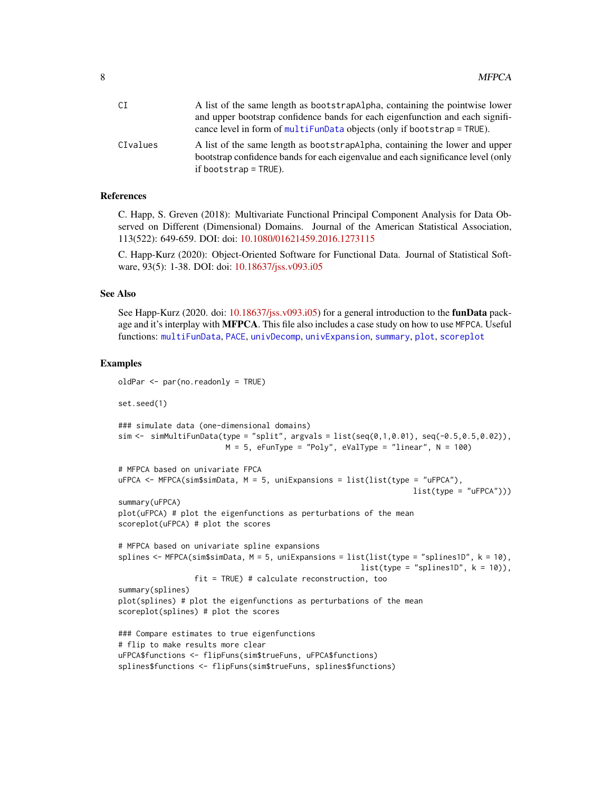<span id="page-7-0"></span>

| СI       | A list of the same length as bootstrapalpha, containing the pointwise lower                                                                                                                |
|----------|--------------------------------------------------------------------------------------------------------------------------------------------------------------------------------------------|
|          | and upper bootstrap confidence bands for each eigenfunction and each signifi-                                                                                                              |
|          | cance level in form of multiFunData objects (only if bootstrap = TRUE).                                                                                                                    |
| CIvalues | A list of the same length as bootstrapalpha, containing the lower and upper<br>bootstrap confidence bands for each eigenvalue and each significance level (only<br>if bootstrap $=$ TRUE). |

#### References

C. Happ, S. Greven (2018): Multivariate Functional Principal Component Analysis for Data Observed on Different (Dimensional) Domains. Journal of the American Statistical Association, 113(522): 649-659. DOI: doi: [10.1080/01621459.2016.1273115](https://doi.org/10.1080/01621459.2016.1273115)

C. Happ-Kurz (2020): Object-Oriented Software for Functional Data. Journal of Statistical Software, 93(5): 1-38. DOI: doi: [10.18637/jss.v093.i05](https://doi.org/10.18637/jss.v093.i05)

#### See Also

See Happ-Kurz (2020. doi: [10.18637/jss.v093.i05\)](https://doi.org/10.18637/jss.v093.i05) for a general introduction to the **funData** package and it's interplay with MFPCA. This file also includes a case study on how to use MFPCA. Useful functions: [multiFunData](#page-0-0), [PACE](#page-10-1), [univDecomp](#page-21-1), [univExpansion](#page-22-1), [summary](#page-18-1), [plot](#page-12-1), [scoreplot](#page-16-1)

```
oldPar <- par(no.readonly = TRUE)
set.seed(1)
### simulate data (one-dimensional domains)
sim <- simMultiFunData(type = "split", argvals = list(seq(0,1,0.01), seq(-0.5,0.5,0.02)),
                        M = 5, eFunType = "Poly", eValType = "linear", N = 100)
# MFPCA based on univariate FPCA
uFPCA <- MFPCA(sim$simData, M = 5, uniExpansions = list(list(type = "uFPCA"),
                                                                  list(type = "uFPCA"))summary(uFPCA)
plot(uFPCA) # plot the eigenfunctions as perturbations of the mean
scoreplot(uFPCA) # plot the scores
# MFPCA based on univariate spline expansions
splines <- MFPCA(sim$simData, M = 5, uniExpansions = list(list(type = "splines1D", k = 10),
                                                      list(type = "splines1D", k = 10)),fit = TRUE) # calculate reconstruction, too
summary(splines)
plot(splines) # plot the eigenfunctions as perturbations of the mean
scoreplot(splines) # plot the scores
### Compare estimates to true eigenfunctions
# flip to make results more clear
uFPCA$functions <- flipFuns(sim$trueFuns, uFPCA$functions)
splines$functions <- flipFuns(sim$trueFuns, splines$functions)
```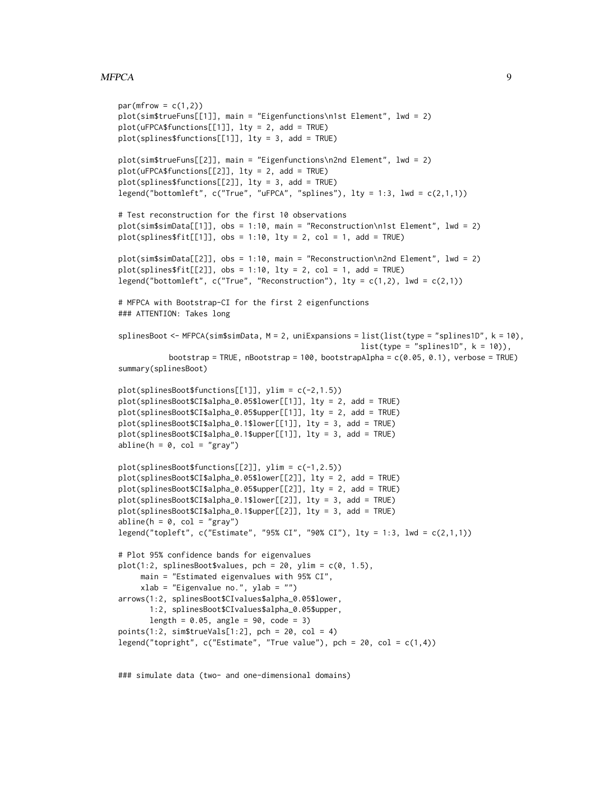#### MFPCA 99

```
par(mfrow = c(1,2))plot(sim$trueFuns[[1]], main = "Eigenfunctions\n1st Element", lwd = 2)
plot(uFPCA$functions[[1]], lty = 2, add = TRUE)
plot(splines$functions[[1]], lty = 3, add = TRUE)
plot(sim$trueFuns[[2]], main = "Eigenfunctions\n2nd Element", lwd = 2)
plot(uFPCA$functions[[2]], lty = 2, add = TRUE)
plot(splines$functions[[2]], lty = 3, add = TRUE)
legend("bottomleft", c("True", "uFPCA", "splines"), lty = 1:3, lwd = c(2,1,1))
# Test reconstruction for the first 10 observations
plot(sim$simData[[1]], obs = 1:10, main = "Reconstruction\n1st Element", lwd = 2)
plot(splines$fit[[1]], obs = 1:10, lty = 2, col = 1, add = TRUE)plot(sim$simData[[2]], obs = 1:10, main = "Reconstruction\n2nd Element", lwd = 2)
plot(splines$fit[[2]], obs = 1:10, lty = 2, col = 1, add = TRUE)legend("bottomleft", c("True", "Reconstruction"), lty = c(1,2), lwd = c(2,1))# MFPCA with Bootstrap-CI for the first 2 eigenfunctions
### ATTENTION: Takes long
splinesBoot <- MFPCA(sim$simData, M = 2, uniExpansions = list(list(type = "splines1D", k = 10),
                                                      list(type = "splines1D", k = 10)),bootstrap = TRUE, nBootstrap = 100, bootstrapAlpha = c(0.05, 0.1), verbose = TRUE)
summary(splinesBoot)
plot(splinesBoot$functions[[1]], ylim = c(-2,1.5))
plot(splinesBoot$CI$alpha_0.05$lower[[1]], lty = 2, add = TRUE)
plot(splinesBoot$CI$alpha_0.05$upper[[1]], lty = 2, add = TRUE)
plot(splinesBoot$CI$alpha_0.1$lower[[1]], lty = 3, add = TRUE)
plot(splinesBoot$CI$alpha_0.1$upper[[1]], lty = 3, add = TRUE)
abline(h = 0, col = "gray")plot(splinesBoot$functions[[2]], ylim = c(-1,2.5))
plot(splinesBoot$CI$alpha_0.05$lower[[2]], lty = 2, add = TRUE)
plot(splinesBoot$CI$alpha_0.05$upper[[2]], lty = 2, add = TRUE)
plot(splinesBoot$CI$alpha_0.1$lower[[2]], lty = 3, add = TRUE)
plot(splinesBoot$CI$alpha_0.1$upper[[2]], lty = 3, add = TRUE)
abline(h = 0, col = "gray")legend("topleft", c("Estimate", "95% CI", "90% CI"), lty = 1:3, lwd = c(2,1,1))
# Plot 95% confidence bands for eigenvalues
plot(1:2, splinesBoostValues, pch = 20, ylim = c(0, 1.5),main = "Estimated eigenvalues with 95% CI",
     xlab = "Eigenvalue no.", ylab = "")
arrows(1:2, splinesBoot$CIvalues$alpha_0.05$lower,
      1:2, splinesBoot$CIvalues$alpha_0.05$upper,
      length = 0.05, angle = 90, code = 3)
points(1:2, sim$trueVals[1:2], pch = 20, col = 4)legend("topright", c("Estimate", "True value"), pch = 20, col = <math>c(1, 4)</math>)
```
### simulate data (two- and one-dimensional domains)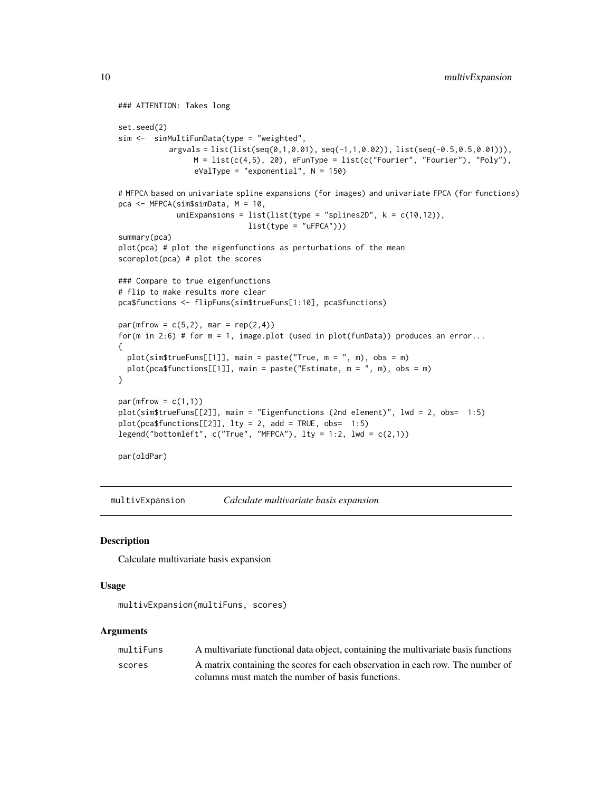```
### ATTENTION: Takes long
set.seed(2)
sim <- simMultiFunData(type = "weighted",
           argvals = list(list(seq(0,1,0.01), seq(-1,1,0.02)), list(seq(-0.5,0.5,0.01))),M = list(c(4,5), 20), eFunType = list(c("Fourier", "Fourier"), "Poly"),eValType = "exponential", N = 150)
# MFPCA based on univariate spline expansions (for images) and univariate FPCA (for functions)
pca <- MFPCA(sim$simData, M = 10,
             uniExpansions = list(list(type = "splines2D", k = c(10, 12)),list(type = "uFPCA"))summary(pca)
plot(pca) # plot the eigenfunctions as perturbations of the mean
scoreplot(pca) # plot the scores
### Compare to true eigenfunctions
# flip to make results more clear
pca$functions <- flipFuns(sim$trueFuns[1:10], pca$functions)
par(mfrow = c(5, 2), mar = rep(2, 4))for(m in 2:6) # for m = 1, image.plot (used in plot(funData)) produces an error...
{
  plot(sim$trueFuns[[1]], main = paste("True, m = ", m), obs = m)
  plot(pca$functions[[1]], main = paste("Estimate, m = ", m), obs = m)
}
par(mfrow = c(1,1))plot(sim$trueFuns[[2]], main = "Eigenfunctions (2nd element)", lwd = 2, obs= 1:5)
plot(pca$functions[[2]], lty = 2, add = TRUE, obs = 1:5)legend("bottomleft", c("True", "MFPCA"), lty = 1:2, lwd = c(2,1))par(oldPar)
```
multivExpansion *Calculate multivariate basis expansion*

#### Description

Calculate multivariate basis expansion

#### Usage

```
multivExpansion(multiFuns, scores)
```
#### Arguments

| multiFuns | A multivariate functional data object, containing the multivariate basis functions |
|-----------|------------------------------------------------------------------------------------|
| scores    | A matrix containing the scores for each observation in each row. The number of     |
|           | columns must match the number of basis functions.                                  |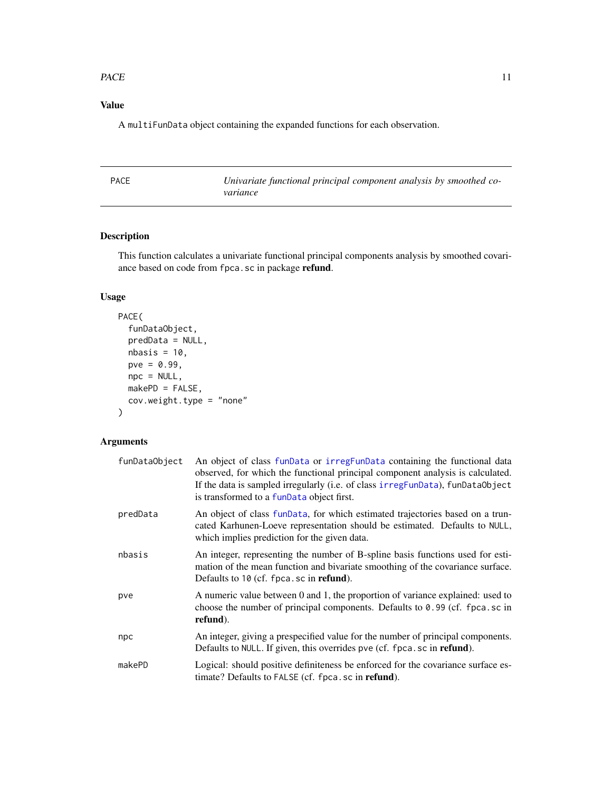#### <span id="page-10-0"></span> $PACE$  11

#### Value

A multiFunData object containing the expanded functions for each observation.

<span id="page-10-1"></span>

| <b>PACE</b> | Univariate functional principal component analysis by smoothed co- |
|-------------|--------------------------------------------------------------------|
|             | variance                                                           |

#### Description

This function calculates a univariate functional principal components analysis by smoothed covariance based on code from fpca.sc in package refund.

### Usage

```
PACE(
  funDataObject,
 predData = NULL,
 nbasis = 10,
 pve = 0.99,
 npc = NULL,makePD = FALSE,
 cov.weight.type = "none"
)
```
#### Arguments

| funDataObject | An object of class funData or irregFunData containing the functional data<br>observed, for which the functional principal component analysis is calculated.<br>If the data is sampled irregularly (i.e. of class irregFunData), funDataObject<br>is transformed to a funData object first. |
|---------------|--------------------------------------------------------------------------------------------------------------------------------------------------------------------------------------------------------------------------------------------------------------------------------------------|
| predData      | An object of class funData, for which estimated trajectories based on a trun-<br>cated Karhunen-Loeve representation should be estimated. Defaults to NULL,<br>which implies prediction for the given data.                                                                                |
| nbasis        | An integer, representing the number of B-spline basis functions used for esti-<br>mation of the mean function and bivariate smoothing of the covariance surface.<br>Defaults to 10 (cf. fpca.sc in refund).                                                                                |
| pve           | A numeric value between 0 and 1, the proportion of variance explained: used to<br>choose the number of principal components. Defaults to $0.99$ (cf. fpca.sc in<br>refund).                                                                                                                |
| npc           | An integer, giving a prespecified value for the number of principal components.<br>Defaults to NULL. If given, this overrides pve (cf. fpca.sc in refund).                                                                                                                                 |
| makePD        | Logical: should positive definiteness be enforced for the covariance surface es-<br>timate? Defaults to FALSE (cf. fpca.sc in <b>refund</b> ).                                                                                                                                             |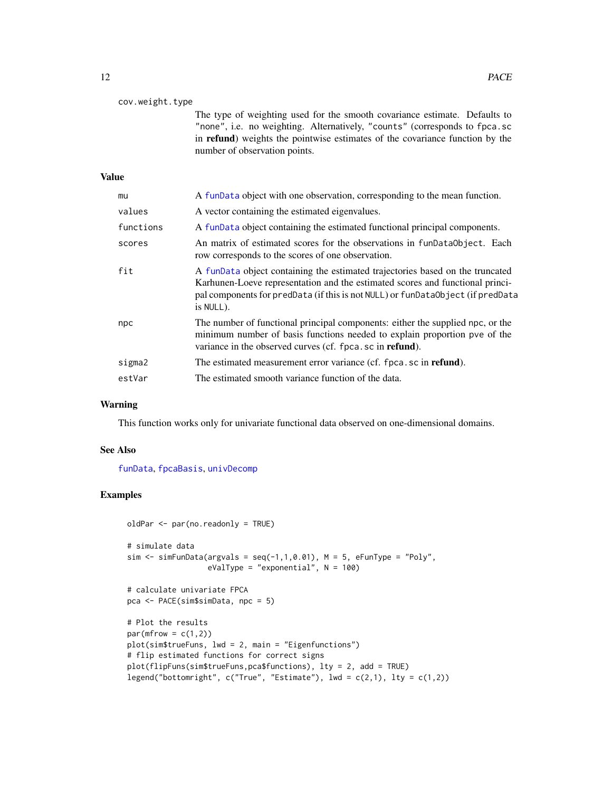<span id="page-11-0"></span>

| cov.weight.type |                                                                                                                                                                                                                                                                           |
|-----------------|---------------------------------------------------------------------------------------------------------------------------------------------------------------------------------------------------------------------------------------------------------------------------|
|                 | The type of weighting used for the smooth covariance estimate. Defaults to<br>"none", i.e. no weighting. Alternatively, "counts" (corresponds to fpca.sc<br>in refund) weights the pointwise estimates of the covariance function by the<br>number of observation points. |
| <b>Value</b>    |                                                                                                                                                                                                                                                                           |
| mu              | A funData object with one observation, corresponding to the mean function.                                                                                                                                                                                                |
| values          | A vector containing the estimated eigenvalues.                                                                                                                                                                                                                            |
| functions       | A funData object containing the estimated functional principal components.                                                                                                                                                                                                |
| scores          | An matrix of estimated scores for the observations in funDataObject. Each<br>row corresponds to the scores of one observation.                                                                                                                                            |
| fit             | A funData object containing the estimated trajectories based on the truncated<br>Karhunen-Loeve representation and the estimated scores and functional princi-<br>pal components for predData (if this is not NULL) or funDataObject (if predData<br>is NULL).            |
| npc             | The number of functional principal components: either the supplied npc, or the<br>minimum number of basis functions needed to explain proportion pve of the<br>variance in the observed curves (cf. fpca.sc in refund).                                                   |
| sigma2          | The estimated measurement error variance (cf. fpca.sc in refund).                                                                                                                                                                                                         |
| estVar          | The estimated smooth variance function of the data.                                                                                                                                                                                                                       |

#### Warning

This function works only for univariate functional data observed on one-dimensional domains.

#### See Also

[funData](#page-0-0), [fpcaBasis](#page-0-0), [univDecomp](#page-21-1)

```
oldPar <- par(no.readonly = TRUE)
# simulate data
sim \le simFunData(argvals = seq(-1,1,0.01), M = 5, eFunType = "Poly",
                  eValType = "exponential", N = 100)
# calculate univariate FPCA
pca <- PACE(sim$simData, npc = 5)
# Plot the results
par(mfrow = c(1,2))plot(sim$trueFuns, lwd = 2, main = "Eigenfunctions")
# flip estimated functions for correct signs
plot(flipFuns(sim$trueFuns,pca$functions), lty = 2, add = TRUE)
legend("bottomright", c("True", "Estimate"), lwd = c(2,1), lty = c(1,2))
```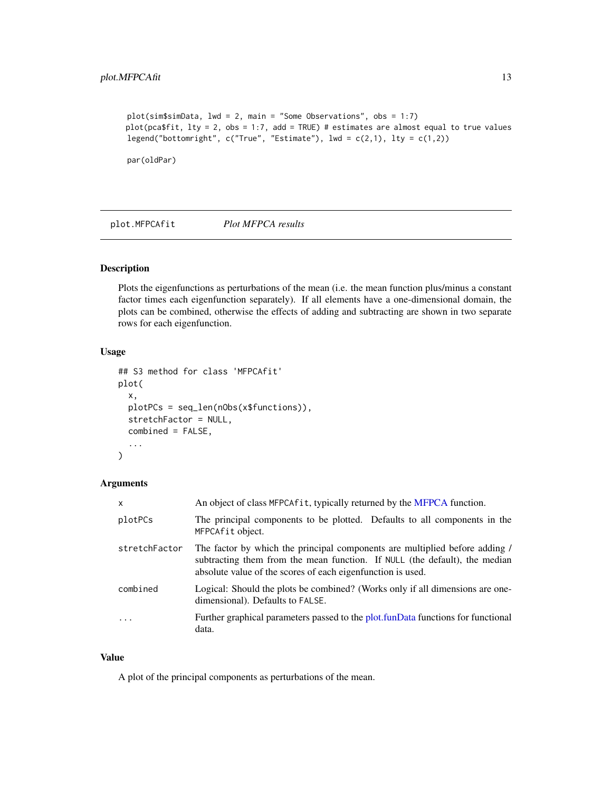```
plot(sim$simData, lwd = 2, main = "Some Observations", obs = 1:7)
plot(pca$fit, lty = 2, obs = 1:7, add = TRUE) # estimates are almost equal to true values
legend("bottomright", c("True", "Estimate"), lwd = c(2,1), lty = c(1,2))
```
par(oldPar)

<span id="page-12-1"></span>plot.MFPCAfit *Plot MFPCA results*

#### Description

Plots the eigenfunctions as perturbations of the mean (i.e. the mean function plus/minus a constant factor times each eigenfunction separately). If all elements have a one-dimensional domain, the plots can be combined, otherwise the effects of adding and subtracting are shown in two separate rows for each eigenfunction.

#### Usage

```
## S3 method for class 'MFPCAfit'
plot(
  x,
 plotPCs = seq_len(nObs(x$functions)),
  stretchFactor = NULL,
  combined = FALSE,
  ...
)
```
#### Arguments

| $\mathsf{x}$  | An object of class MFPCA fit, typically returned by the MFPCA function.                                                                                                                                                  |
|---------------|--------------------------------------------------------------------------------------------------------------------------------------------------------------------------------------------------------------------------|
| plotPCs       | The principal components to be plotted. Defaults to all components in the<br>MFPCAfit object.                                                                                                                            |
| stretchFactor | The factor by which the principal components are multiplied before adding /<br>subtracting them from the mean function. If NULL (the default), the median<br>absolute value of the scores of each eigenfunction is used. |
| combined      | Logical: Should the plots be combined? (Works only if all dimensions are one-<br>dimensional). Defaults to FALSE.                                                                                                        |
| $\ddots$ .    | Further graphical parameters passed to the plot.funData functions for functional<br>data.                                                                                                                                |

#### Value

A plot of the principal components as perturbations of the mean.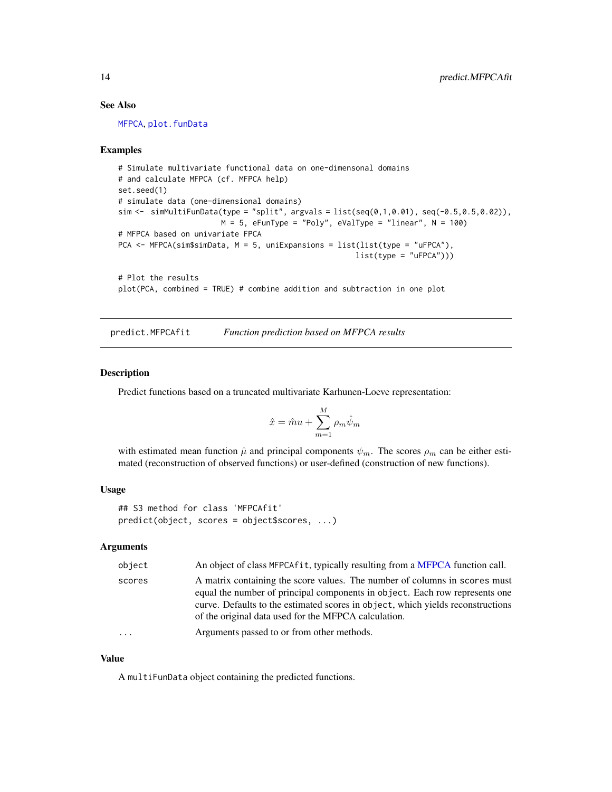#### See Also

[MFPCA](#page-3-1), [plot.funData](#page-0-0)

#### Examples

```
# Simulate multivariate functional data on one-dimensonal domains
# and calculate MFPCA (cf. MFPCA help)
set.seed(1)
# simulate data (one-dimensional domains)
sim <- simMultiFunData(type = "split", argvals = list(seq(0,1,0.01), seq(-0.5,0.5,0.02)),
                       M = 5, eFunType = "Poly", eValType = "linear", N = 100)
# MFPCA based on univariate FPCA
PCA <- MFPCA(sim$simData, M = 5, uniExpansions = list(list(type = "uFPCA"),
                                                     list(type = "uFPCA")))
# Plot the results
plot(PCA, combined = TRUE) # combine addition and subtraction in one plot
```
predict.MFPCAfit *Function prediction based on MFPCA results*

#### Description

Predict functions based on a truncated multivariate Karhunen-Loeve representation:

$$
\hat{x} = \hat{m}u + \sum_{m=1}^{M} \rho_m \hat{\psi}_m
$$

with estimated mean function  $\hat{\mu}$  and principal components  $\psi_m$ . The scores  $\rho_m$  can be either estimated (reconstruction of observed functions) or user-defined (construction of new functions).

#### Usage

```
## S3 method for class 'MFPCAfit'
predict(object, scores = object$scores, ...)
```
#### Arguments

| object   | An object of class MFPCAfit, typically resulting from a MFPCA function call.                                                                                                                                                                                                                         |
|----------|------------------------------------------------------------------------------------------------------------------------------------------------------------------------------------------------------------------------------------------------------------------------------------------------------|
| scores   | A matrix containing the score values. The number of columns in scores must<br>equal the number of principal components in object. Each row represents one<br>curve. Defaults to the estimated scores in object, which yields reconstructions<br>of the original data used for the MFPCA calculation. |
| $\cdots$ | Arguments passed to or from other methods.                                                                                                                                                                                                                                                           |

#### Value

A multiFunData object containing the predicted functions.

<span id="page-13-0"></span>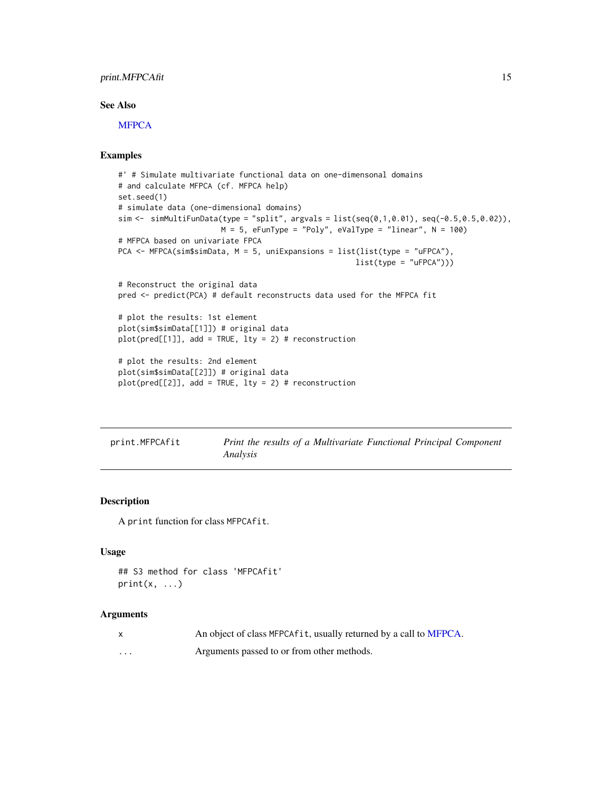#### <span id="page-14-0"></span>print.MFPCAfit 15

#### See Also

[MFPCA](#page-3-1)

#### Examples

```
#' # Simulate multivariate functional data on one-dimensonal domains
# and calculate MFPCA (cf. MFPCA help)
set.seed(1)
# simulate data (one-dimensional domains)
sim \leq simMultiFunData(type = "split", argvals = list(seq(0,1,0.01), seq(-0.5,0.5,0.02)),
                       M = 5, eFunType = "Poly", eValType = "linear", N = 100)
# MFPCA based on univariate FPCA
PCA <- MFPCA(sim$simData, M = 5, uniExpansions = list(list(type = "uFPCA"),
                                                     list(type = "uFPCA"))# Reconstruct the original data
pred <- predict(PCA) # default reconstructs data used for the MFPCA fit
# plot the results: 1st element
plot(sim$simData[[1]]) # original data
plot(pred[[1]], add = TRUE, lty = 2) # reconstruction
# plot the results: 2nd element
plot(sim$simData[[2]]) # original data
plot(pred[[2]], add = TRUE, lty = 2) # reconstruction
```

| print.MFPCAfit | Print the results of a Multivariate Functional Principal Component |  |
|----------------|--------------------------------------------------------------------|--|
|                | Analysis                                                           |  |

#### Description

A print function for class MFPCAfit.

#### Usage

```
## S3 method for class 'MFPCAfit'
print(x, \ldots)
```
#### Arguments

| An object of class MFPCAfit, usually returned by a call to MFPCA. |
|-------------------------------------------------------------------|
|                                                                   |

... Arguments passed to or from other methods.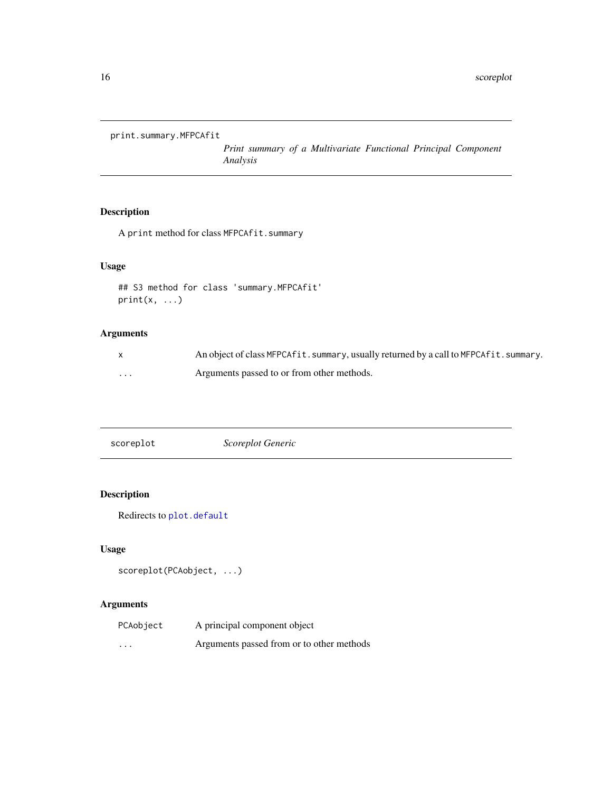<span id="page-15-0"></span>print.summary.MFPCAfit

*Print summary of a Multivariate Functional Principal Component Analysis*

#### Description

A print method for class MFPCAfit.summary

#### Usage

```
## S3 method for class 'summary.MFPCAfit'
print(x, \ldots)
```
#### Arguments

|   | An object of class MFPCA fit. summary, usually returned by a call to MFPCA fit. summary. |
|---|------------------------------------------------------------------------------------------|
| . | Arguments passed to or from other methods.                                               |

|--|

#### Description

Redirects to [plot.default](#page-0-0)

#### Usage

```
scoreplot(PCAobject, ...)
```
#### Arguments

| PCAobject | A principal component object              |
|-----------|-------------------------------------------|
| $\cdots$  | Arguments passed from or to other methods |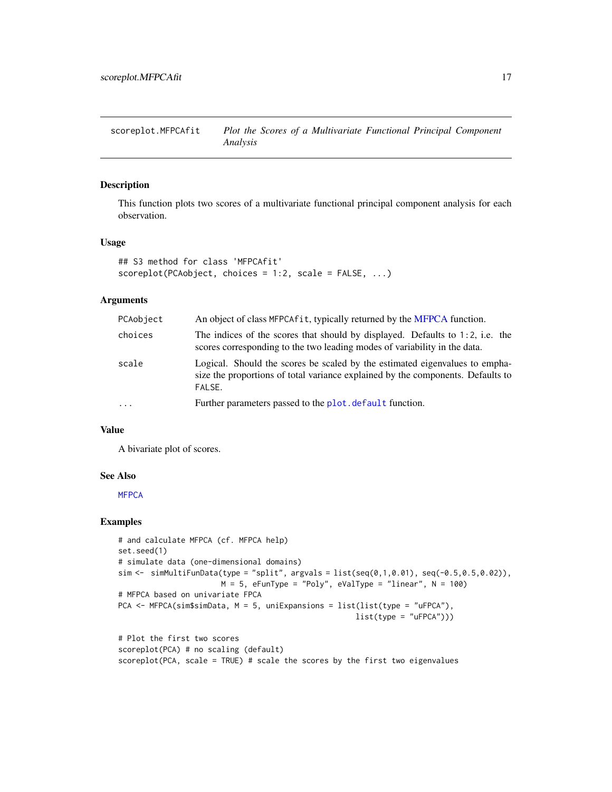<span id="page-16-1"></span><span id="page-16-0"></span>scoreplot.MFPCAfit *Plot the Scores of a Multivariate Functional Principal Component Analysis*

#### Description

This function plots two scores of a multivariate functional principal component analysis for each observation.

#### Usage

```
## S3 method for class 'MFPCAfit'
scoreplot(PCAobject, choices = 1:2, scale = FALSE, ...)
```
#### Arguments

| PCAobject | An object of class MFPCA fit, typically returned by the MFPCA function.                                                                                                  |
|-----------|--------------------------------------------------------------------------------------------------------------------------------------------------------------------------|
| choices   | The indices of the scores that should by displayed. Defaults to $1:2$ , i.e. the<br>scores corresponding to the two leading modes of variability in the data.            |
| scale     | Logical. Should the scores be scaled by the estimated eigenvalues to empha-<br>size the proportions of total variance explained by the components. Defaults to<br>FALSE. |
| $\cdots$  | Further parameters passed to the plot. default function.                                                                                                                 |

#### Value

A bivariate plot of scores.

#### See Also

**[MFPCA](#page-3-1)** 

```
# and calculate MFPCA (cf. MFPCA help)
set.seed(1)
# simulate data (one-dimensional domains)
sim \leq simMultiFunData(type = "split", argvals = list(seq(0,1,0.01), seq(-0.5,0.5,0.02)),
                       M = 5, eFunType = "Poly", eValType = "linear", N = 100)
# MFPCA based on univariate FPCA
PCA <- MFPCA(sim$simData, M = 5, uniExpansions = list(list(type = "uFPCA"),
                                                     list(type = "uFPCA"))# Plot the first two scores
scoreplot(PCA) # no scaling (default)
scoreplot(PCA, scale = TRUE) # scale the scores by the first two eigenvalues
```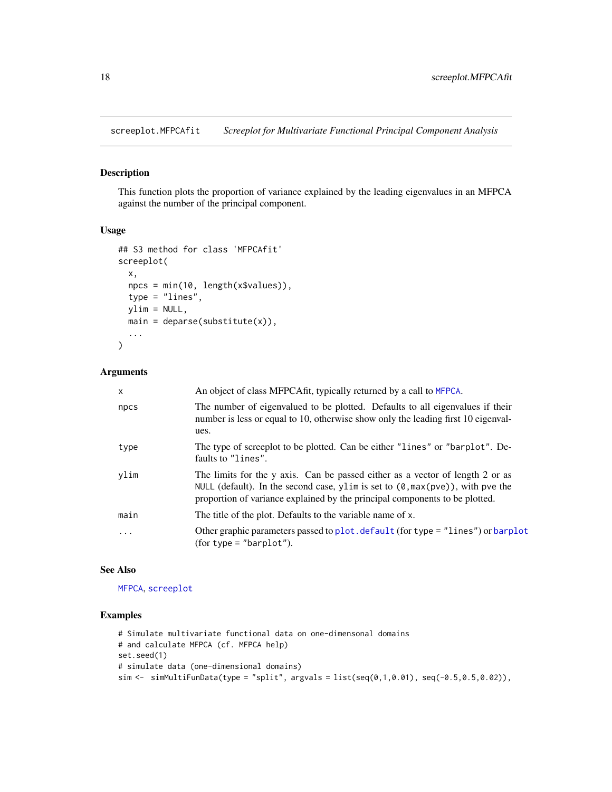<span id="page-17-0"></span>screeplot.MFPCAfit *Screeplot for Multivariate Functional Principal Component Analysis*

#### Description

This function plots the proportion of variance explained by the leading eigenvalues in an MFPCA against the number of the principal component.

#### Usage

```
## S3 method for class 'MFPCAfit'
screeplot(
  x,
 npcs = min(10, length(x$values)),
 type = "lines",
 ylim = NULL,
 main = deparse(substitute(x)),...
)
```
#### Arguments

| $\mathsf{x}$ | An object of class MFPCAfit, typically returned by a call to MFPCA.                                                                                                                                                                                         |
|--------------|-------------------------------------------------------------------------------------------------------------------------------------------------------------------------------------------------------------------------------------------------------------|
| npcs         | The number of eigenvalued to be plotted. Defaults to all eigenvalues if their<br>number is less or equal to 10, otherwise show only the leading first 10 eigenval-<br>ues.                                                                                  |
| type         | The type of screeplot to be plotted. Can be either "lines" or "barplot". De-<br>faults to "lines".                                                                                                                                                          |
| ylim         | The limits for the y axis. Can be passed either as a vector of length 2 or as<br>NULL (default). In the second case, y l im is set to $(0, \max(\text{pve}))$ , with pve the<br>proportion of variance explained by the principal components to be plotted. |
| main         | The title of the plot. Defaults to the variable name of x.                                                                                                                                                                                                  |
| .            | Other graphic parameters passed to plot. default (for type = "lines") or barplot<br>$(for type = "barplot").$                                                                                                                                               |

#### See Also

[MFPCA](#page-3-1), [screeplot](#page-0-0)

```
# Simulate multivariate functional data on one-dimensonal domains
# and calculate MFPCA (cf. MFPCA help)
set.seed(1)
# simulate data (one-dimensional domains)
sim <- simMultiFunData(type = "split", argvals = list(seq(0,1,0.01), seq(-0.5,0.5,0.02)),
```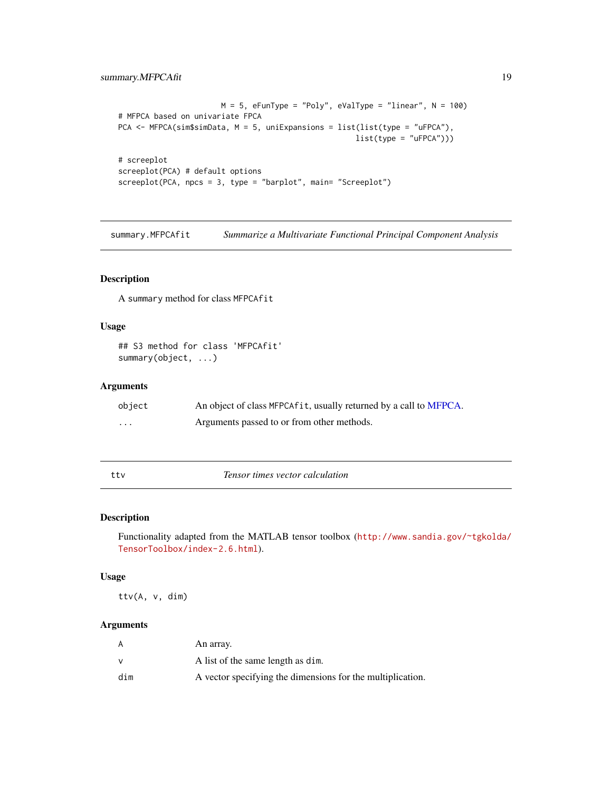#### <span id="page-18-0"></span>summary.MFPCAfit 19

```
M = 5, eFunType = "Poly", eValType = "linear", N = 100)
# MFPCA based on univariate FPCA
PCA <- MFPCA(sim$simData, M = 5, uniExpansions = list(list(type = "uFPCA"),
                                                     list(type = "uFPCA"))# screeplot
screeplot(PCA) # default options
screeplot(PCA, npcs = 3, type = "barplot", main= "Screeplot")
```
<span id="page-18-1"></span>summary.MFPCAfit *Summarize a Multivariate Functional Principal Component Analysis*

#### Description

A summary method for class MFPCAfit

#### Usage

## S3 method for class 'MFPCAfit' summary(object, ...)

#### Arguments

| object                  | An object of class MFPCA fit, usually returned by a call to MFPCA. |
|-------------------------|--------------------------------------------------------------------|
| $\cdot$ $\cdot$ $\cdot$ | Arguments passed to or from other methods.                         |

ttv *Tensor times vector calculation*

#### Description

Functionality adapted from the MATLAB tensor toolbox ([http://www.sandia.gov/~tgkolda/](http://www.sandia.gov/~tgkolda/TensorToolbox/index-2.6.html) [TensorToolbox/index-2.6.html](http://www.sandia.gov/~tgkolda/TensorToolbox/index-2.6.html)).

#### Usage

ttv(A, v, dim)

#### Arguments

| A   | An array.                                                  |
|-----|------------------------------------------------------------|
|     | A list of the same length as dim.                          |
| dim | A vector specifying the dimensions for the multiplication. |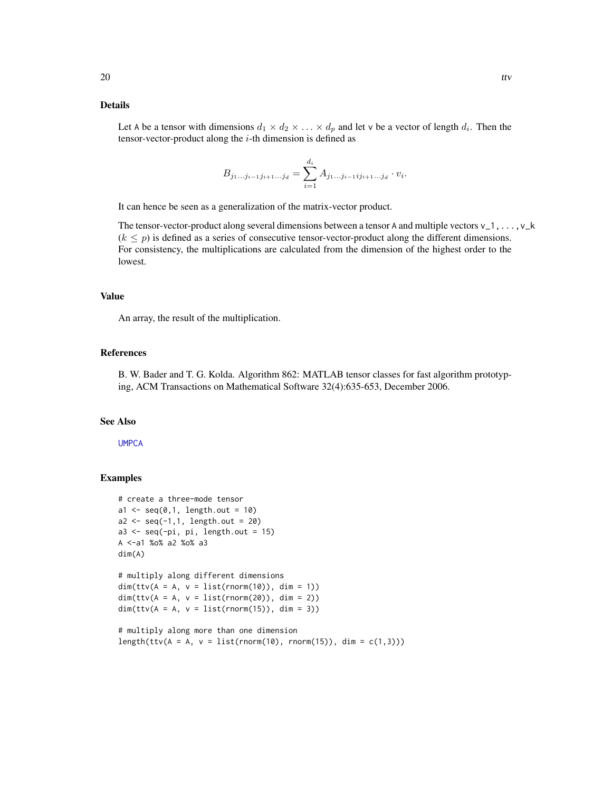#### <span id="page-19-0"></span>Details

Let A be a tensor with dimensions  $d_1 \times d_2 \times \ldots \times d_p$  and let v be a vector of length  $d_i$ . Then the tensor-vector-product along the  $i$ -th dimension is defined as

$$
B_{j_1...j_{i-1}j_{i+1}...j_d} = \sum_{i=1}^{d_i} A_{j_1...j_{i-1}ij_{i+1}...j_d} \cdot v_i.
$$

It can hence be seen as a generalization of the matrix-vector product.

The tensor-vector-product along several dimensions between a tensor A and multiple vectors  $v_1$ ,..., $v_k$  $(k \leq p)$  is defined as a series of consecutive tensor-vector-product along the different dimensions. For consistency, the multiplications are calculated from the dimension of the highest order to the lowest.

#### Value

An array, the result of the multiplication.

#### References

B. W. Bader and T. G. Kolda. Algorithm 862: MATLAB tensor classes for fast algorithm prototyping, ACM Transactions on Mathematical Software 32(4):635-653, December 2006.

#### See Also

**[UMPCA](#page-20-1)** 

```
# create a three-mode tensor
a1 \leq -\text{seq}(0,1, \text{length.out} = 10)a2 \leq -seq(-1,1, length.out = 20)a3 \leq -\text{seq}(-pi, \text{pi}, \text{length.out} = 15)A <-a1 %o% a2 %o% a3
dim(A)
# multiply along different dimensions
dim(ttv(A = A, v = list(rnorm(10)), dim = 1))dim(ttv(A = A, v = list(rnorm(20)), dim = 2))dim(ttv(A = A, v = list(rnorm(15)), dim = 3))# multiply along more than one dimension
length(ttv(A = A, v = list(rnorm(10), rnorm(15)), dim = c(1,3)))
```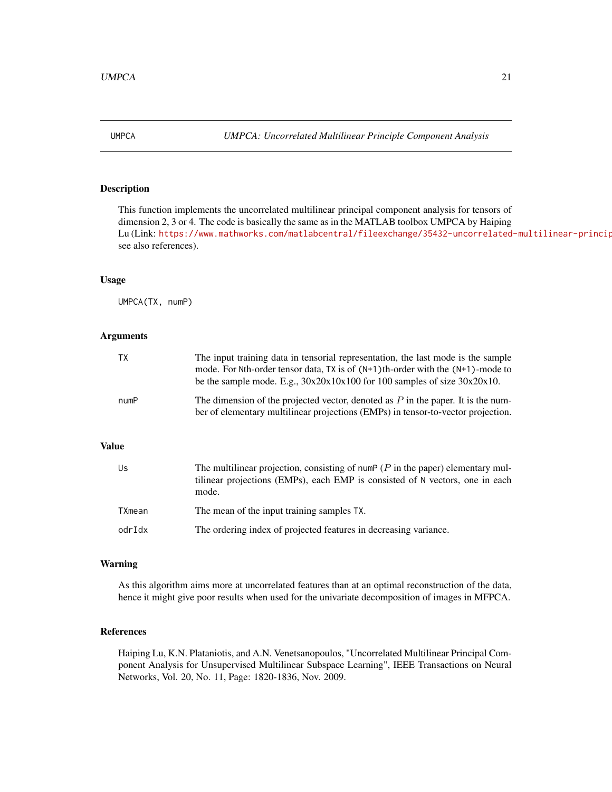<span id="page-20-1"></span><span id="page-20-0"></span>UMPCA *UMPCA: Uncorrelated Multilinear Principle Component Analysis*

#### Description

This function implements the uncorrelated multilinear principal component analysis for tensors of dimension 2, 3 or 4. The code is basically the same as in the MATLAB toolbox UMPCA by Haiping Lu (Link: https://www.mathworks.com/matlabcentral/fileexchange/35432-uncorrelated-multilinear-princip see also references).

#### Usage

UMPCA(TX, numP)

#### Arguments

| ТX           | The input training data in tensorial representation, the last mode is the sample<br>mode. For Nth-order tensor data, $TX$ is of $(N+1)$ th-order with the $(N+1)$ -mode to<br>be the sample mode. E.g., $30x20x10x100$ for 100 samples of size $30x20x10$ . |
|--------------|-------------------------------------------------------------------------------------------------------------------------------------------------------------------------------------------------------------------------------------------------------------|
| numP         | The dimension of the projected vector, denoted as $P$ in the paper. It is the num-<br>ber of elementary multilinear projections (EMPs) in tensor-to-vector projection.                                                                                      |
| <b>Value</b> |                                                                                                                                                                                                                                                             |
| Us           | The multilinear projection, consisting of numP ( $P$ in the paper) elementary mul-<br>tilinear projections (EMPs), each EMP is consisted of N vectors, one in each<br>mode.                                                                                 |
| TXmean       | The mean of the input training samples TX.                                                                                                                                                                                                                  |

### odrIdx The ordering index of projected features in decreasing variance.

#### Warning

As this algorithm aims more at uncorrelated features than at an optimal reconstruction of the data, hence it might give poor results when used for the univariate decomposition of images in MFPCA.

#### References

Haiping Lu, K.N. Plataniotis, and A.N. Venetsanopoulos, "Uncorrelated Multilinear Principal Component Analysis for Unsupervised Multilinear Subspace Learning", IEEE Transactions on Neural Networks, Vol. 20, No. 11, Page: 1820-1836, Nov. 2009.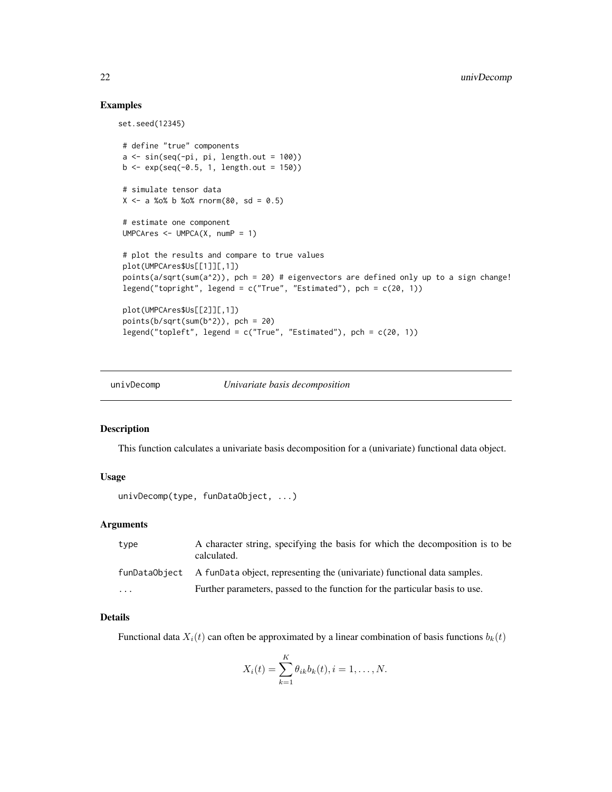#### Examples

set.seed(12345)

```
# define "true" components
a \leftarrow \sin(\sec(-pi), pi, length.out = 100)b \leq - \exp(\sec(-\theta.5, 1, \text{length.out} = 150))# simulate tensor data
X \le -a %o% b %o% rnorm(80, sd = 0.5)
# estimate one component
UMPCAres \leq UMPCA(X, numP = 1)
# plot the results and compare to true values
plot(UMPCAres$Us[[1]][,1])
points(a/sqrt(sum(a^2)), pch = 20) # eigenvectors are defined only up to a sign change!
legend("topright", legend = c("True", "Estimated"), pch = c(20, 1))
plot(UMPCAres$Us[[2]][,1])
points(b/sqrt(sum(b^2)), \text{ pch} = 20)legend("topleft", legend = c("True", "Estimated"), pch = c(20, 1))
```
<span id="page-21-1"></span>

univDecomp *Univariate basis decomposition*

#### Description

This function calculates a univariate basis decomposition for a (univariate) functional data object.

#### Usage

```
univDecomp(type, funDataObject, ...)
```
#### Arguments

| type                    | A character string, specifying the basis for which the decomposition is to be<br>calculated. |
|-------------------------|----------------------------------------------------------------------------------------------|
|                         | funDataObject A funData object, representing the (univariate) functional data samples.       |
| $\cdot$ $\cdot$ $\cdot$ | Further parameters, passed to the function for the particular basis to use.                  |

#### Details

Functional data  $X_i(t)$  can often be approximated by a linear combination of basis functions  $b_k(t)$ 

$$
X_i(t) = \sum_{k=1}^K \theta_{ik} b_k(t), i = 1, \dots, N.
$$

<span id="page-21-0"></span>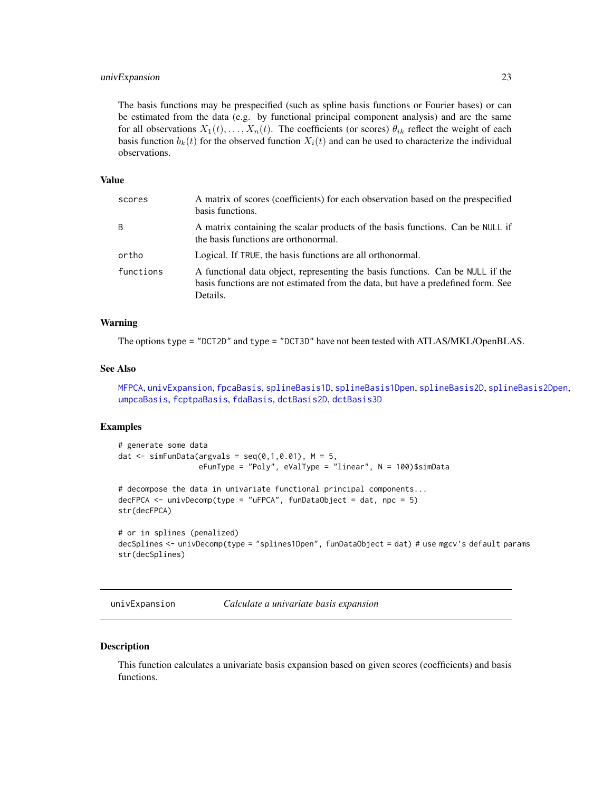#### <span id="page-22-0"></span>univExpansion 23

The basis functions may be prespecified (such as spline basis functions or Fourier bases) or can be estimated from the data (e.g. by functional principal component analysis) and are the same for all observations  $X_1(t), \ldots, X_n(t)$ . The coefficients (or scores)  $\theta_{ik}$  reflect the weight of each basis function  $b_k(t)$  for the observed function  $X_i(t)$  and can be used to characterize the individual observations.

#### Value

| scores    | A matrix of scores (coefficients) for each observation based on the prespecified<br>basis functions.                                                                           |
|-----------|--------------------------------------------------------------------------------------------------------------------------------------------------------------------------------|
| B         | A matrix containing the scalar products of the basis functions. Can be NULL if<br>the basis functions are orthonormal.                                                         |
| ortho     | Logical. If TRUE, the basis functions are all orthonormal.                                                                                                                     |
| functions | A functional data object, representing the basis functions. Can be NULL if the<br>basis functions are not estimated from the data, but have a predefined form. See<br>Details. |

#### Warning

The options type = "DCT2D" and type = "DCT3D" have not been tested with ATLAS/MKL/OpenBLAS.

#### See Also

[MFPCA](#page-3-1), [univExpansion](#page-22-1), [fpcaBasis](#page-0-0), [splineBasis1D](#page-0-0), [splineBasis1Dpen](#page-0-0), [splineBasis2D](#page-0-0), [splineBasis2Dpen](#page-0-0), [umpcaBasis](#page-0-0), [fcptpaBasis](#page-0-0), [fdaBasis](#page-0-0), [dctBasis2D](#page-0-0), [dctBasis3D](#page-0-0)

#### Examples

```
# generate some data
dat \le simFunData(argvals = seq(0,1,0.01), M = 5,
                  eFunType = "Poly", eValType = "linear", N = 100)$simData
# decompose the data in univariate functional principal components...
decFPCA \leq univDecomp(type = "uFPCA", funDataObject = dat, npc = 5)str(decFPCA)
# or in splines (penalized)
```

```
decSplines <- univDecomp(type = "splines1Dpen", funDataObject = dat) # use mgcv's default params
str(decSplines)
```
<span id="page-22-1"></span>univExpansion *Calculate a univariate basis expansion*

#### Description

This function calculates a univariate basis expansion based on given scores (coefficients) and basis functions.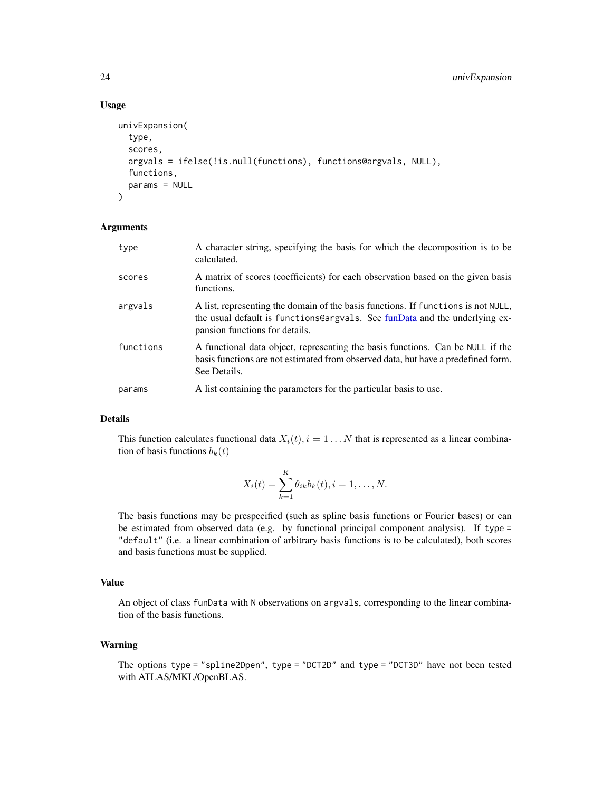#### Usage

```
univExpansion(
  type,
  scores,
  argvals = ifelse(!is.null(functions), functions@argvals, NULL),
  functions,
 params = NULL
)
```
#### Arguments

| type      | A character string, specifying the basis for which the decomposition is to be<br>calculated.                                                                                                      |
|-----------|---------------------------------------------------------------------------------------------------------------------------------------------------------------------------------------------------|
| scores    | A matrix of scores (coefficients) for each observation based on the given basis<br>functions.                                                                                                     |
| argvals   | A list, representing the domain of the basis functions. If functions is not NULL,<br>the usual default is functions@argvals. See funData and the underlying ex-<br>pansion functions for details. |
| functions | A functional data object, representing the basis functions. Can be NULL if the<br>basis functions are not estimated from observed data, but have a predefined form.<br>See Details.               |
| params    | A list containing the parameters for the particular basis to use.                                                                                                                                 |

#### Details

This function calculates functional data  $X_i(t)$ ,  $i = 1...N$  that is represented as a linear combination of basis functions  $b_k(t)$ 

$$
X_i(t) = \sum_{k=1}^{K} \theta_{ik} b_k(t), i = 1, ..., N.
$$

The basis functions may be prespecified (such as spline basis functions or Fourier bases) or can be estimated from observed data (e.g. by functional principal component analysis). If type = "default" (i.e. a linear combination of arbitrary basis functions is to be calculated), both scores and basis functions must be supplied.

#### Value

An object of class funData with N observations on argvals, corresponding to the linear combination of the basis functions.

#### Warning

The options type = "spline2Dpen", type = "DCT2D" and type = "DCT3D" have not been tested with ATLAS/MKL/OpenBLAS.

<span id="page-23-0"></span>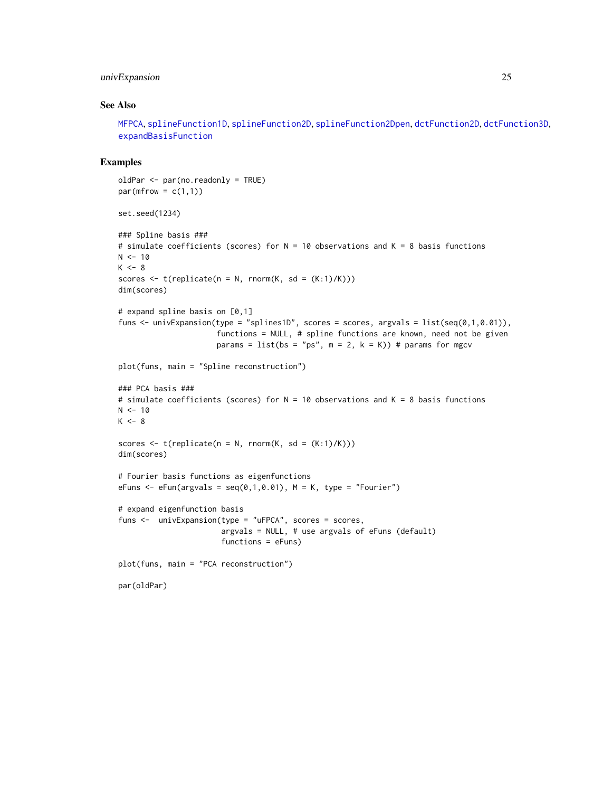#### <span id="page-24-0"></span>univExpansion 25

#### See Also

[MFPCA](#page-3-1), [splineFunction1D](#page-0-0), [splineFunction2D](#page-0-0), [splineFunction2Dpen](#page-0-0), [dctFunction2D](#page-0-0), [dctFunction3D](#page-0-0), [expandBasisFunction](#page-0-0)

```
oldPar <- par(no.readonly = TRUE)
par(mfrow = c(1,1))set.seed(1234)
### Spline basis ###
# simulate coefficients (scores) for N = 10 observations and K = 8 basis functions
N < -10K < -8scores \leq t(replicate(n = N, rnorm(K, sd = (K:1)/K)))
dim(scores)
# expand spline basis on [0,1]
funs \le - univExpansion(type = "splines1D", scores = scores, argvals = list(seq(0,1,0.01)),
                      functions = NULL, # spline functions are known, need not be given
                      params = list(bs = "ps", m = 2, k = K)) # params for mgcv
plot(funs, main = "Spline reconstruction")
### PCA basis ###
# simulate coefficients (scores) for N = 10 observations and K = 8 basis functions
N < -10K < - 8scores \leq t(replicate(n = N, rnorm(K, sd = (K:1)/K)))
dim(scores)
# Fourier basis functions as eigenfunctions
eFuns \leq eFun(argvals = seq(0,1,0.01), M = K, type = "Fourier")
# expand eigenfunction basis
funs <- univExpansion(type = "uFPCA", scores = scores,
                       argvals = NULL, # use argvals of eFuns (default)
                       functions = eFuns)
plot(funs, main = "PCA reconstruction")
par(oldPar)
```